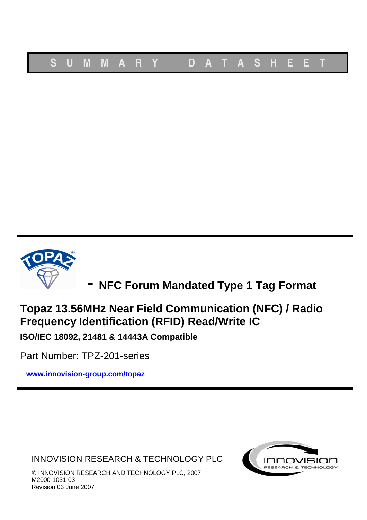

**- NFC Forum Mandated Type <sup>1</sup> Tag Format**

# **Topaz 13.56MHz Near Field Communication (NFC) / Radio Frequency Identification (RFID) Read/Write IC**

**ISO/IEC 18092, 21481 & 14443A Compatible**

Part Number: TPZ-201-series

**www.innovision-group.com/topaz**

INNOVISION RESEARCH & TECHNOLOGY PLC



© INNOVISION RESEARCH AND TECHNOLOGY PLC, 2007 M2000-1031-03 Revision 03 June 2007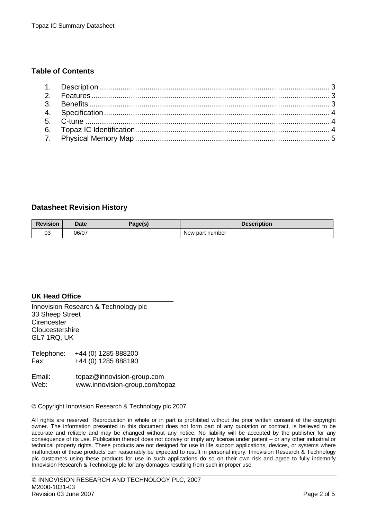#### **Table of Contents**

#### **Datasheet Revision History**

| <b>Revision</b> | Date  | Page(s) | <b>Description</b> |  |  |  |
|-----------------|-------|---------|--------------------|--|--|--|
| 03              | 06/07 |         | New part number    |  |  |  |

#### **UK Head Office**

Innovision Research & Technology plc 33 Sheep Street **Cirencester Gloucestershire** GL7 1RQ, UK

Telephone: +44 (0) 1285 888200 Fax: +44 (0) 1285 888190

| Email: | topaz@innovision-group.com     |
|--------|--------------------------------|
| Web:   | www.innovision-group.com/topaz |

© Copyright Innovision Research & Technology plc 2007

All rights are reserved. Reproduction in whole or in part is prohibited without the prior written consent of the copyright owner. The information presented in this document does not form part of any quotation or contract, is believed to be accurate and reliable and may be changed without any notice. No liability will be accepted by the publisher for any consequence of its use. Publication thereof does not convey or imply any license under patent – or any other industrial or technical property rights. These products are not designed for use in life support applications, devices, or systems where malfunction of these products can reasonably be expected to result in personal injury. Innovision Research & Technology plc customers using these products for use in such applications do so on their own risk and agree to fully indemnify Innovision Research & Technology plc for any damages resulting from such improper use.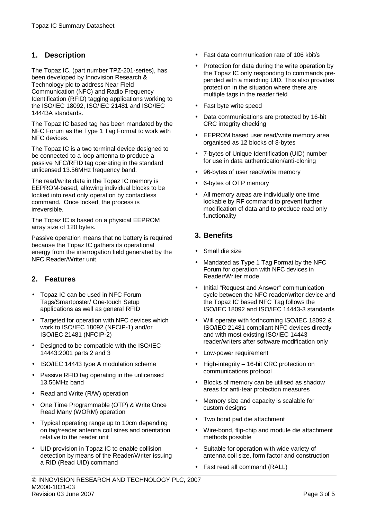# **1. Description**

The Topaz IC, (part number TPZ-201-series), has been developed by Innovision Research & Technology plc to address Near Field Communication (NFC) and Radio Frequency Identification (RFID) tagging applications working to the ISO/IEC 18092, ISO/IEC 21481 and ISO/IEC 14443A standards.

The Topaz IC based tag has been mandated by the NFC Forum as the Type 1 Tag Format to work with NFC devices.

The Topaz IC is a two terminal device designed to be connected to a loop antenna to produce a passive NFC/RFID tag operating in the standard unlicensed 13.56MHz frequency band.

The read/write data in the Topaz IC memory is EEPROM-based, allowing individual blocks to be locked into read only operation by contactless command. Once locked, the process is irreversible.

The Topaz IC is based on a physical EEPROM array size of 120 bytes.

Passive operation means that no battery is required because the Topaz IC gathers its operational energy from the interrogation field generated by the NFC Reader/Writer unit.

## **2. Features**

- Topaz IC can be used in NFC Forum Tags/Smartposter/ One-touch Setup applications as well as general RFID
- Targeted for operation with NFC devices which work to ISO/IEC 18092 (NFCIP-1) and/or ISO/IEC 21481 (NFCIP-2)
- Designed to be compatible with the ISO/IEC 14443:2001 parts 2 and 3
- ISO/IEC 14443 type A modulation scheme
- Passive RFID tag operating in the unlicensed 13.56MHz band
- Read and Write (R/W) operation
- One Time Programmable (OTP) & Write Once Read Many (WORM) operation
- Typical operating range up to 10cm depending on tag/reader antenna coil sizes and orientation relative to the reader unit
- UID provision in Topaz IC to enable collision detection by means of the Reader/Writer issuing a RID (Read UID) command
- Fast data communication rate of 106 kbit/s
- Protection for data during the write operation by the Topaz IC only responding to commands prepended with a matching UID. This also provides protection in the situation where there are multiple tags in the reader field
- Fast byte write speed
- Data communications are protected by 16-bit CRC integrity checking
- EEPROM based user read/write memory area organised as 12 blocks of 8-bytes
- 7-bytes of Unique Identification (UID) number for use in data authentication/anti-cloning
- 96-bytes of user read/write memory
- 6-bytes of OTP memory
- All memory areas are individually one time lockable by RF command to prevent further modification of data and to produce read only functionality

## **3. Benefits**

- Small die size
- Mandated as Type 1 Tag Format by the NFC Forum for operation with NFC devices in Reader/Writer mode
- Initial "Request and Answer" communication cycle between the NFC reader/writer device and the Topaz IC based NFC Tag follows the ISO/IEC 18092 and ISO/IEC 14443-3 standards
- Will operate with forthcoming ISO/IEC 18092 & ISO/IEC 21481 compliant NFC devices directly and with most existing ISO/IEC 14443 reader/writers after software modification only
- Low-power requirement
- High-integrity 16-bit CRC protection on communications protocol
- Blocks of memory can be utilised as shadow areas for anti-tear protection measures
- Memory size and capacity is scalable for custom designs
- Two bond pad die attachment
- Wire-bond, flip-chip and module die attachment methods possible
- Suitable for operation with wide variety of antenna coil size, form factor and construction
- Fast read all command (RALL)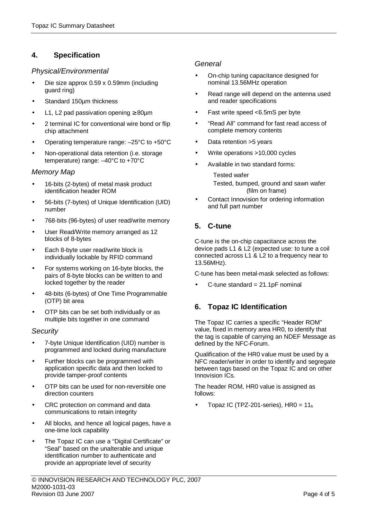# **4. Specification**

#### Physical/Environmental

- Die size approx 0.59 x 0.59mm (including guard ring)
- Standard 150um thickness
- L1, L2 pad passivation opening  $\geq 80 \mu m$
- 2 terminal IC for conventional wire bond or flip chip attachment
- Operating temperature range: –25°C to +50°C
- Non-operational data retention (i.e. storage temperature) range: –40°C to +70°C

#### Memory Map

- 16-bits (2-bytes) of metal mask product identification header ROM
- 56-bits (7-bytes) of Unique Identification (UID) number
- 768-bits (96-bytes) of user read/write memory
- User Read/Write memory arranged as 12 blocks of 8-bytes
- Each 8-byte user read/write block is individually lockable by RFID command
- For systems working on 16-byte blocks, the pairs of 8-byte blocks can be written to and locked together by the reader
- 48-bits (6-bytes) of One Time Programmable (OTP) bit area
- OTP bits can be set both individually or as multiple bits together in one command

#### **Security**

- 7-byte Unique Identification (UID) number is programmed and locked during manufacture
- Further blocks can be programmed with application specific data and then locked to provide tamper-proof contents
- OTP bits can be used for non-reversible one direction counters
- CRC protection on command and data communications to retain integrity
- All blocks, and hence all logical pages, have a one-time lock capability
- The Topaz IC can use a "Digital Certificate" or "Seal" based on the unalterable and unique identification number to authenticate and provide an appropriate level of security

#### © INNOVISION RESEARCH AND TECHNOLOGY PLC, 2007 M2000-1031-03 Revision 03 June 2007 **Page 4 of 5** Page 4 of 5

#### **General**

- On-chip tuning capacitance designed for nominal 13.56MHz operation
- Read range will depend on the antenna used and reader specifications
- Fast write speed <6.5mS per byte
- "Read All" command for fast read access of complete memory contents
- Data retention > 5 years
- Write operations >10,000 cycles
- Available in two standard forms:
	- Tested wafer Tested, bumped, ground and sawn wafer (film on frame)
- Contact Innovision for ordering information and full part number

# **5. C-tune**

C-tune is the on-chip capacitance across the device pads L1 & L2 (expected use: to tune a coil connected across L1 & L2 to a frequency near to 13.56MHz).

C-tune has been metal-mask selected as follows:

C-tune standard  $= 21.1pF$  nominal

# **6. Topaz IC Identification**

The Topaz IC carries a specific "Header ROM" value, fixed in memory area HR0, to identify that the tag is capable of carrying an NDEF Message as defined by the NFC-Forum.

Qualification of the HR0 value must be used by a NFC reader/writer in order to identify and segregate between tags based on the Topaz IC and on other Innovision ICs.

The header ROM, HR0 value is assigned as follows:

Topaz IC (TPZ-201-series),  $HR0 = 11<sub>h</sub>$